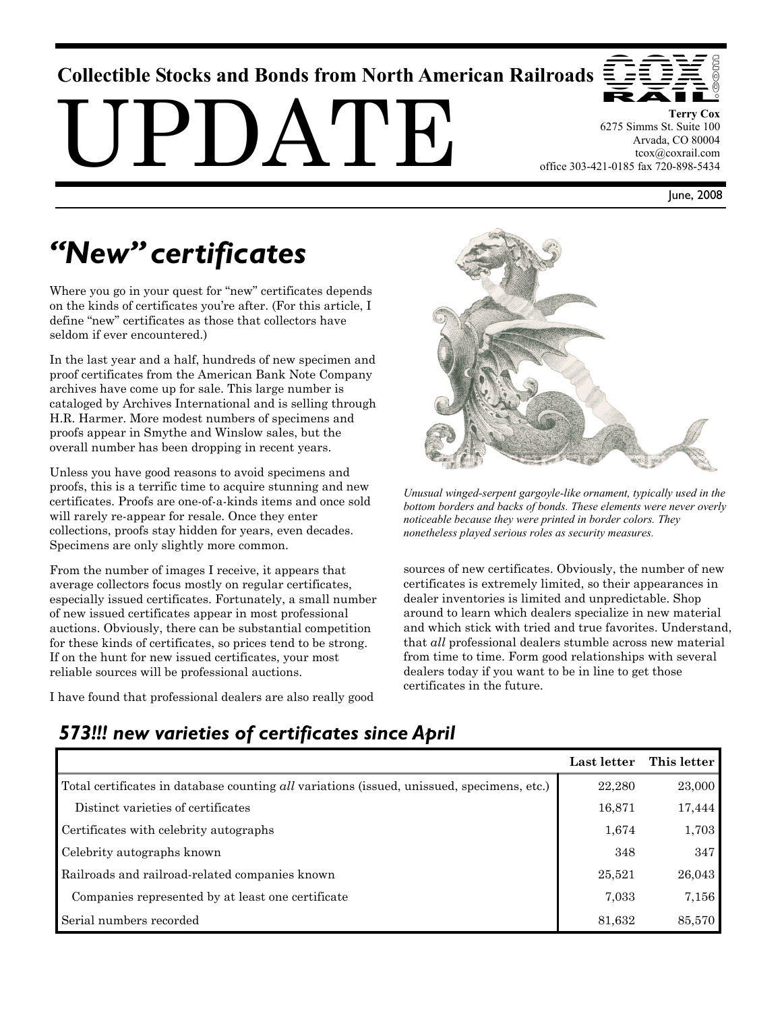## **Collectible Stocks and Bonds from North American Railroads**

 $PI$ ) $A'I'H$ 



**Terry Cox**  6275 Simms St. Suite 100 Arvada, CO 80004 tcox@coxrail.com office 303-421-0185 fax 720-898-5434

June, 2008

# *"New" certificates*

Where you go in your quest for "new" certificates depends on the kinds of certificates you're after. (For this article, I define "new" certificates as those that collectors have seldom if ever encountered.)

In the last year and a half, hundreds of new specimen and proof certificates from the American Bank Note Company archives have come up for sale. This large number is cataloged by Archives International and is selling through H.R. Harmer. More modest numbers of specimens and proofs appear in Smythe and Winslow sales, but the overall number has been dropping in recent years.

Unless you have good reasons to avoid specimens and proofs, this is a terrific time to acquire stunning and new certificates. Proofs are one-of-a-kinds items and once sold will rarely re-appear for resale. Once they enter collections, proofs stay hidden for years, even decades. Specimens are only slightly more common.

From the number of images I receive, it appears that average collectors focus mostly on regular certificates, especially issued certificates. Fortunately, a small number of new issued certificates appear in most professional auctions. Obviously, there can be substantial competition for these kinds of certificates, so prices tend to be strong. If on the hunt for new issued certificates, your most reliable sources will be professional auctions.

I have found that professional dealers are also really good



*Unusual winged-serpent gargoyle-like ornament, typically used in the bottom borders and backs of bonds. These elements were never overly noticeable because they were printed in border colors. They nonetheless played serious roles as security measures.* 

sources of new certificates. Obviously, the number of new certificates is extremely limited, so their appearances in dealer inventories is limited and unpredictable. Shop around to learn which dealers specialize in new material and which stick with tried and true favorites. Understand, that *all* professional dealers stumble across new material from time to time. Form good relationships with several dealers today if you want to be in line to get those certificates in the future.

# *573!!! new varieties of certificates since April*

|                                                                                            | Last letter | This letter |
|--------------------------------------------------------------------------------------------|-------------|-------------|
| Total certificates in database counting all variations (issued, unissued, specimens, etc.) | 22,280      | 23,000      |
| Distinct varieties of certificates                                                         | 16,871      | 17,444      |
| Certificates with celebrity autographs                                                     | 1,674       | 1,703       |
| Celebrity autographs known                                                                 | 348         | 347         |
| Railroads and railroad-related companies known                                             | 25,521      | 26,043      |
| Companies represented by at least one certificate                                          | 7,033       | 7,156       |
| Serial numbers recorded                                                                    | 81,632      | 85,570      |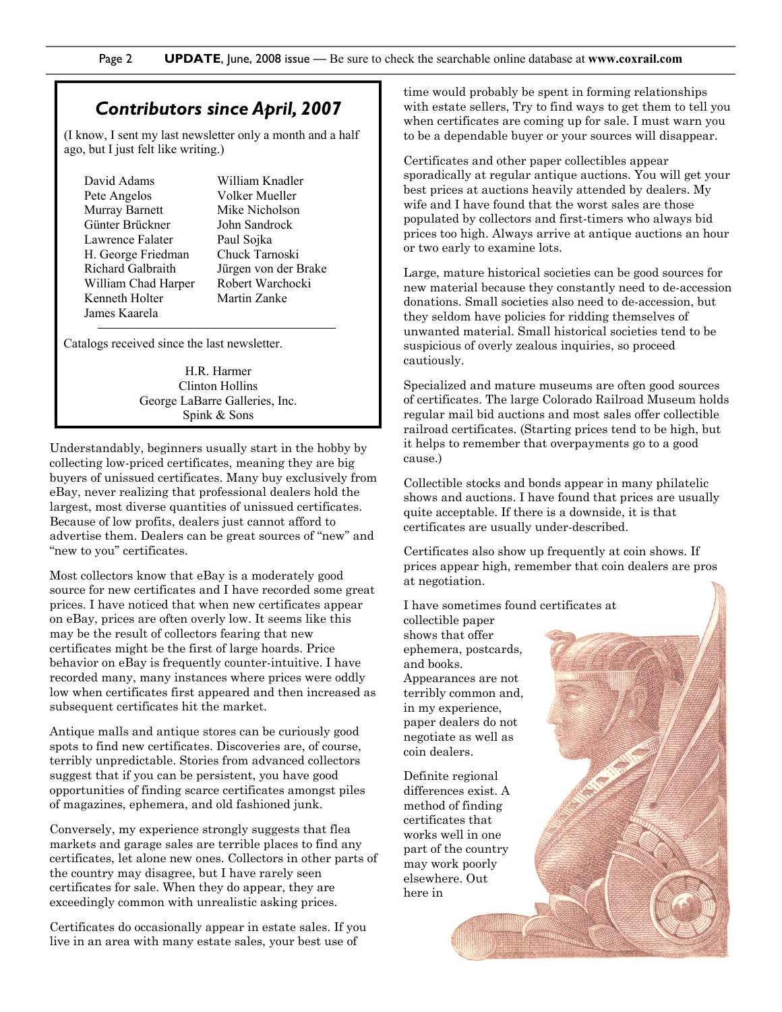#### *Contributors since April, 2007*

(I know, I sent my last newsletter only a month and a half ago, but I just felt like writing.)

David Adams Pete Angelos Murray Barnett Günter Brückner Lawrence Falater H. George Friedman Richard Galbraith William Chad Harper Kenneth Holter James Kaarela

William Knadler Volker Mueller Mike Nicholson John Sandrock Paul Sojka Chuck Tarnoski Jürgen von der Brake Robert Warchocki Martin Zanke

Catalogs received since the last newsletter.

H.R. Harmer Clinton Hollins George LaBarre Galleries, Inc. Spink & Sons

Understandably, beginners usually start in the hobby by collecting low-priced certificates, meaning they are big buyers of unissued certificates. Many buy exclusively from eBay, never realizing that professional dealers hold the largest, most diverse quantities of unissued certificates. Because of low profits, dealers just cannot afford to advertise them. Dealers can be great sources of "new" and "new to you" certificates.

Most collectors know that eBay is a moderately good source for new certificates and I have recorded some great prices. I have noticed that when new certificates appear on eBay, prices are often overly low. It seems like this may be the result of collectors fearing that new certificates might be the first of large hoards. Price behavior on eBay is frequently counter-intuitive. I have recorded many, many instances where prices were oddly low when certificates first appeared and then increased as subsequent certificates hit the market.

Antique malls and antique stores can be curiously good spots to find new certificates. Discoveries are, of course, terribly unpredictable. Stories from advanced collectors suggest that if you can be persistent, you have good opportunities of finding scarce certificates amongst piles of magazines, ephemera, and old fashioned junk.

Conversely, my experience strongly suggests that flea markets and garage sales are terrible places to find any certificates, let alone new ones. Collectors in other parts of the country may disagree, but I have rarely seen certificates for sale. When they do appear, they are exceedingly common with unrealistic asking prices.

Certificates do occasionally appear in estate sales. If you live in an area with many estate sales, your best use of

time would probably be spent in forming relationships with estate sellers, Try to find ways to get them to tell you when certificates are coming up for sale. I must warn you to be a dependable buyer or your sources will disappear.

Certificates and other paper collectibles appear sporadically at regular antique auctions. You will get your best prices at auctions heavily attended by dealers. My wife and I have found that the worst sales are those populated by collectors and first-timers who always bid prices too high. Always arrive at antique auctions an hour or two early to examine lots.

Large, mature historical societies can be good sources for new material because they constantly need to de-accession donations. Small societies also need to de-accession, but they seldom have policies for ridding themselves of unwanted material. Small historical societies tend to be suspicious of overly zealous inquiries, so proceed cautiously.

Specialized and mature museums are often good sources of certificates. The large Colorado Railroad Museum holds regular mail bid auctions and most sales offer collectible railroad certificates. (Starting prices tend to be high, but it helps to remember that overpayments go to a good cause.)

Collectible stocks and bonds appear in many philatelic shows and auctions. I have found that prices are usually quite acceptable. If there is a downside, it is that certificates are usually under-described.

Certificates also show up frequently at coin shows. If prices appear high, remember that coin dealers are pros at negotiation.

I have sometimes found certificates at

collectible paper shows that offer ephemera, postcards, and books. Appearances are not terribly common and, in my experience, paper dealers do not negotiate as well as coin dealers.

Definite regional differences exist. A method of finding certificates that works well in one part of the country may work poorly elsewhere. Out here in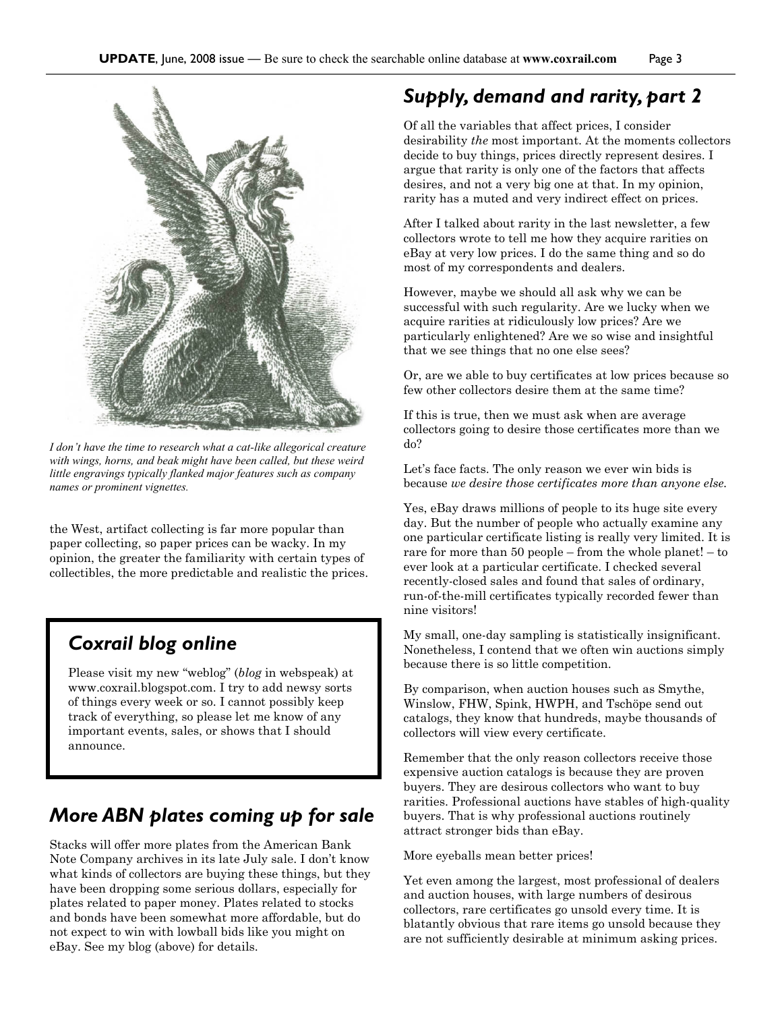

*I don't have the time to research what a cat-like allegorical creature with wings, horns, and beak might have been called, but these weird little engravings typically flanked major features such as company names or prominent vignettes.* 

the West, artifact collecting is far more popular than paper collecting, so paper prices can be wacky. In my opinion, the greater the familiarity with certain types of collectibles, the more predictable and realistic the prices.

#### *Coxrail blog online*

Please visit my new "weblog" (*blog* in webspeak) at www.coxrail.blogspot.com. I try to add newsy sorts of things every week or so. I cannot possibly keep track of everything, so please let me know of any important events, sales, or shows that I should announce.

### *More ABN plates coming up for sale*

Stacks will offer more plates from the American Bank Note Company archives in its late July sale. I don't know what kinds of collectors are buying these things, but they have been dropping some serious dollars, especially for plates related to paper money. Plates related to stocks and bonds have been somewhat more affordable, but do not expect to win with lowball bids like you might on eBay. See my blog (above) for details.

#### *Supply, demand and rarity, part 2*

Of all the variables that affect prices, I consider desirability *the* most important. At the moments collectors decide to buy things, prices directly represent desires. I argue that rarity is only one of the factors that affects desires, and not a very big one at that. In my opinion, rarity has a muted and very indirect effect on prices.

After I talked about rarity in the last newsletter, a few collectors wrote to tell me how they acquire rarities on eBay at very low prices. I do the same thing and so do most of my correspondents and dealers.

However, maybe we should all ask why we can be successful with such regularity. Are we lucky when we acquire rarities at ridiculously low prices? Are we particularly enlightened? Are we so wise and insightful that we see things that no one else sees?

Or, are we able to buy certificates at low prices because so few other collectors desire them at the same time?

If this is true, then we must ask when are average collectors going to desire those certificates more than we do?

Let's face facts. The only reason we ever win bids is because *we desire those certificates more than anyone else.*

Yes, eBay draws millions of people to its huge site every day. But the number of people who actually examine any one particular certificate listing is really very limited. It is rare for more than 50 people – from the whole planet! – to ever look at a particular certificate. I checked several recently-closed sales and found that sales of ordinary, run-of-the-mill certificates typically recorded fewer than nine visitors!

My small, one-day sampling is statistically insignificant. Nonetheless, I contend that we often win auctions simply because there is so little competition.

By comparison, when auction houses such as Smythe, Winslow, FHW, Spink, HWPH, and Tschöpe send out catalogs, they know that hundreds, maybe thousands of collectors will view every certificate.

Remember that the only reason collectors receive those expensive auction catalogs is because they are proven buyers. They are desirous collectors who want to buy rarities. Professional auctions have stables of high-quality buyers. That is why professional auctions routinely attract stronger bids than eBay.

More eyeballs mean better prices!

Yet even among the largest, most professional of dealers and auction houses, with large numbers of desirous collectors, rare certificates go unsold every time. It is blatantly obvious that rare items go unsold because they are not sufficiently desirable at minimum asking prices.